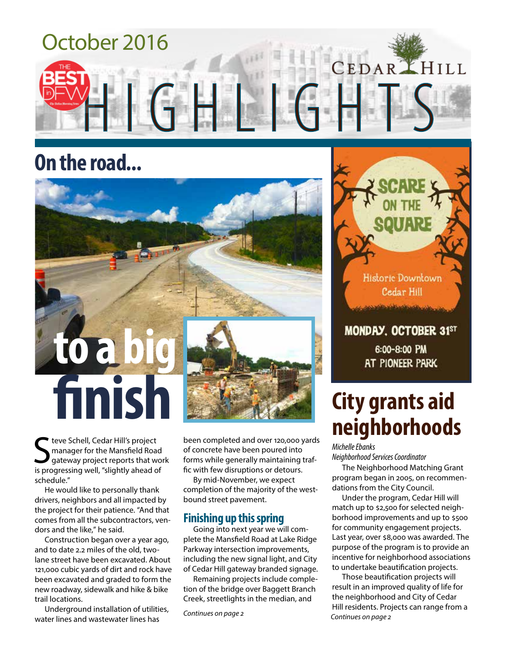

## **On the road...**



S teve Schell, Cedar Hill's project<br>
S manager for the Mansfield Road<br>
is progressing well, "slightly ahead of teve Schell, Cedar Hill's project manager for the Mansfield Road gateway project reports that work schedule."

He would like to personally thank drivers, neighbors and all impacted by the project for their patience. "And that comes from all the subcontractors, vendors and the like," he said.

Construction began over a year ago, and to date 2.2 miles of the old, twolane street have been excavated. About 121,000 cubic yards of dirt and rock have been excavated and graded to form the new roadway, sidewalk and hike & bike trail locations.

Underground installation of utilities, water lines and wastewater lines has

been completed and over 120,000 yards of concrete have been poured into forms while generally maintaining traffic with few disruptions or detours.

By mid-November, we expect completion of the majority of the westbound street pavement.

#### **Finishing up this spring**

Going into next year we will complete the Mansfield Road at Lake Ridge Parkway intersection improvements, including the new signal light, and City of Cedar Hill gateway branded signage.

Remaining projects include completion of the bridge over Baggett Branch Creek, streetlights in the median, and

*Continues on page 2*



#### MONDAY, OCTOBER 31ST

6:00-8:00 PM at pioneer park

## **City grants aid neighborhoods**

*Michelle Ebanks Neighborhood Services Coordinator*

The Neighborhood Matching Grant program began in 2005, on recommendations from the City Council.

Under the program, Cedar Hill will match up to \$2,500 for selected neighborhood improvements and up to \$500 for community engagement projects. Last year, over \$8,000 was awarded. The purpose of the program is to provide an incentive for neighborhood associations to undertake beautification projects.

*Continues on page 2* Those beautification projects will result in an improved quality of life for the neighborhood and City of Cedar Hill residents. Projects can range from a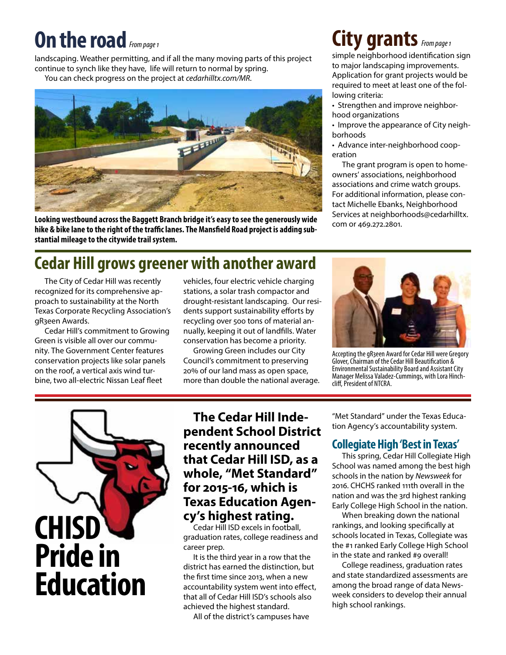## **On the road** *From page 1*

landscaping. Weather permitting, and if all the many moving parts of this project continue to synch like they have, life will return to normal by spring. You can check progress on the project at *cedarhilltx.com/MR.*



**Looking westbound across the Baggett Branch bridge it's easy to see the generously wide hike & bike lane to the right of the traffic lanes. The Mansfield Road project is adding substantial mileage to the citywide trail system.** 

## **Cedar Hill grows greener with another award**

The City of Cedar Hill was recently recognized for its comprehensive approach to sustainability at the North Texas Corporate Recycling Association's gR3een Awards.

Cedar Hill's commitment to Growing Green is visible all over our community. The Government Center features conservation projects like solar panels on the roof, a vertical axis wind turbine, two all-electric Nissan Leaf fleet

vehicles, four electric vehicle charging stations, a solar trash compactor and drought-resistant landscaping. Our residents support sustainability efforts by recycling over 500 tons of material annually, keeping it out of landfills. Water conservation has become a priority.

Growing Green includes our City Council's commitment to preserving 20% of our land mass as open space, more than double the national average.

## **City grants** *From page 1 From page 1*

simple neighborhood identification sign to major landscaping improvements. Application for grant projects would be required to meet at least one of the following criteria:

- Strengthen and improve neighborhood organizations
- Improve the appearance of City neighborhoods
- Advance inter-neighborhood cooperation

The grant program is open to homeowners' associations, neighborhood associations and crime watch groups. For additional information, please contact Michelle Ebanks, Neighborhood Services at neighborhoods@cedarhilltx. com or 469.272.2801.



Accepting the gR3een Award for Cedar Hill were Gregory Glover, Chairman of the Cedar Hill Beautification & Environmental Sustainability Board and Assistant City Manager Melissa Valadez-Cummings, with Lora Hinch-<br>cliff, President of NTCRA.



### **The Cedar Hill Independent School District recently announced that Cedar Hill ISD, as a whole, "Met Standard" for 2015-16, which is Texas Education Agency's highest rating.**

Cedar Hill ISD excels in football, graduation rates, college readiness and career prep.

It is the third year in a row that the district has earned the distinction, but the first time since 2013, when a new accountability system went into effect, that all of Cedar Hill ISD's schools also achieved the highest standard.

All of the district's campuses have

"Met Standard" under the Texas Education Agency's accountability system.

#### **Collegiate High 'Best in Texas'**

This spring, Cedar Hill Collegiate High School was named among the best high schools in the nation by *Newsweek* for 2016. CHCHS ranked 111th overall in the nation and was the 3rd highest ranking Early College High School in the nation.

When breaking down the national rankings, and looking specifically at schools located in Texas, Collegiate was the #1 ranked Early College High School in the state and ranked #9 overall!

College readiness, graduation rates and state standardized assessments are among the broad range of data Newsweek considers to develop their annual high school rankings.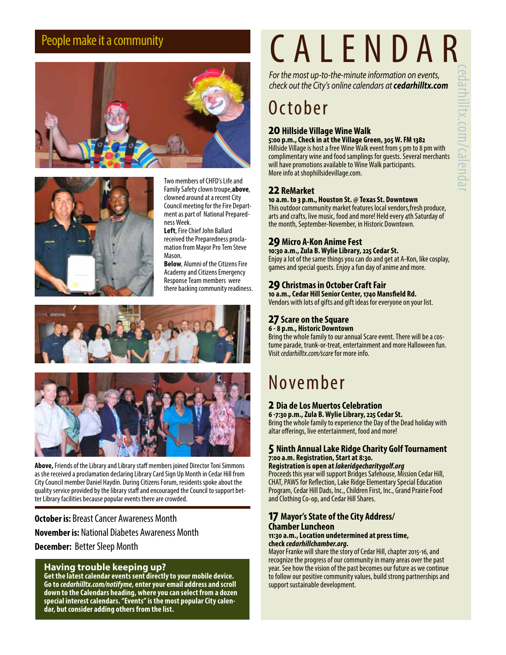



Two members of CHFD's Life and Family Safety clown troupe,**above**, clowned around at a recent City Council meeting for the Fire Department as part of National Preparedness Week.

**Left**, Fire Chief John Ballard received the Preparedness proclamation from Mayor Pro Tem Steve Mason.

**Below**, Alumni of the Citizens Fire Academy and Citizens Emergency Response Team members were there backing community readiness.





**Above,** Friends of the Library and Library staff members joined Director Toni Simmons as she received a proclamation declaring Library Card Sign Up Month in Cedar Hill from City Council member Daniel Haydin. During Citizens Forum, residents spoke about the quality service provided by the library staff and encouraged the Council to support better Library facilities because popular events there are crowded.

**October is:** Breast Cancer Awareness Month **November is:** National Diabetes Awareness Month **December:** Better Sleep Month

#### **Having trouble keeping up?**

**Get the latest calendar events sent directly to your mobile device. Go to** *cedarhilltx.com/notifyme***, enter your email address and scroll down to the Calendars heading, where you can select from a dozen special interest calendars. "Events" is the most popular City calen- dar, but consider adding others from the list.**

# People make it a community **CALENDAR**

*For the most up-to-the-minute information on events, check out the City's online calendars at cedarhilltx.com*

## October

#### **20 Hillside Village Wine Walk**

**5:00 p.m., Check in at the Village Green, 305 W. FM 1382** Hillside Village is host a free Wine Walk event from 5 pm to 8 pm with complimentary wine and food samplings for guests. Several merchants will have promotions available to Wine Walk participants. More info at shophillsidevillage.com.

#### **22 ReMarket**

**10 a.m. to 3 p.m., Houston St. @ Texas St. Downtown** This outdoor community market features local vendors,fresh produce,

arts and crafts, live music, food and more! Held every 4th Saturday of the month, September-November, in Historic Downtown.

#### **29 Micro A-Kon Anime Fest**

**10:30 a.m., Zula B. Wylie Library, 225 Cedar St.** Enjoy a lot of the same things you can do and get at A-Kon, like cosplay, games and special guests. Enjoy a fun day of anime and more.

#### **29 Christmas in October Craft Fair**

**10 a.m., Cedar Hill Senior Center, 1740 Mansfield Rd.** Vendors with lots of gifts and gift ideas for everyone on your list.

#### **27 Scare on the Square**

**6 - 8 p.m., Historic Downtown**

Bring the whole family to our annual Scare event. There will be a cos- tume parade, trunk-or-treat, entertainment and more Halloween fun. Visit *cedarhilltx.com/scare* for more info.

## November

#### **2 Dia de Los Muertos Celebration**

**6 -7:30 p.m., Zula B. Wylie Library, 225 Cedar St.** Bring the whole family to experience the Day of the Dead holiday with altar offerings, live entertainment, food and more!

#### **5 Ninth Annual Lake Ridge Charity Golf Tournament 7:00 a.m. Registration, Start at 8:30.**

#### **Registration is open at** *lakeridgecharitygolf.org*

Proceeds this year will support Bridges Safehouse, Mission Cedar Hill, CHAT, PAWS for Reflection, Lake Ridge Elementary Special Education Program, Cedar Hill Dads, Inc., Children First, Inc., Grand Prairie Food and Clothing Co-op, and Cedar Hill Shares.

#### **17 Mayor's State of the City Address/ Chamber Luncheon**

#### **11:30 a.m., Location undetermined at press time, check** *cedarhillchamber.org.*

Mayor Franke will share the story of Cedar Hill, chapter 2015-16, and recognize the progress of our community in many areas over the past year. See how the vision of the past becomes our future as we continue to follow our positive community values, build strong partnerships and support sustainable development.